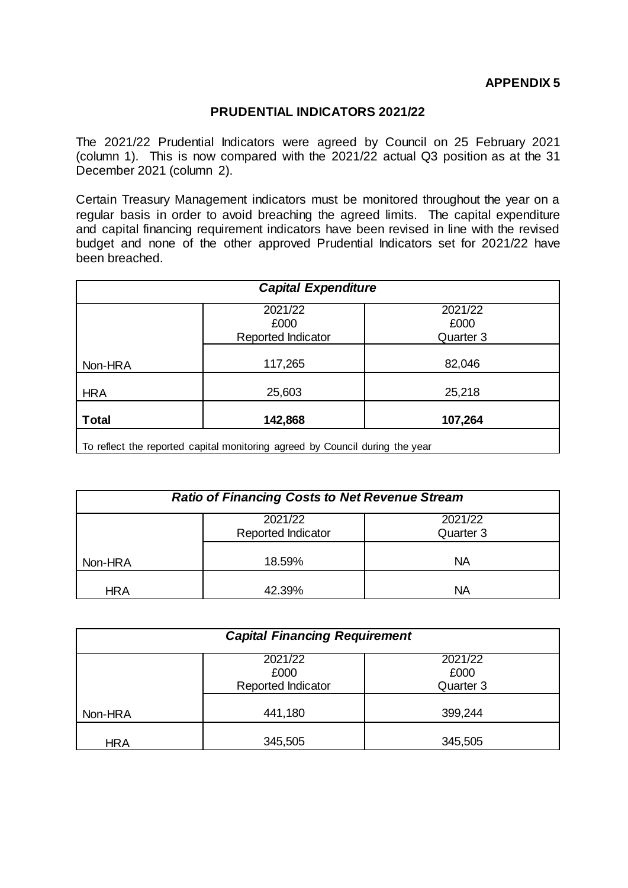## **APPENDIX 5**

## **PRUDENTIAL INDICATORS 2021/22**

The 2021/22 Prudential Indicators were agreed by Council on 25 February 2021 (column 1). This is now compared with the 2021/22 actual Q3 position as at the 31 December 2021 (column 2).

Certain Treasury Management indicators must be monitored throughout the year on a regular basis in order to avoid breaching the agreed limits. The capital expenditure and capital financing requirement indicators have been revised in line with the revised budget and none of the other approved Prudential Indicators set for 2021/22 have been breached.

| <b>Capital Expenditure</b>                                                                                                                                                                                                                                   |                    |                 |  |
|--------------------------------------------------------------------------------------------------------------------------------------------------------------------------------------------------------------------------------------------------------------|--------------------|-----------------|--|
|                                                                                                                                                                                                                                                              | 2021/22<br>£000    | 2021/22<br>£000 |  |
|                                                                                                                                                                                                                                                              | Reported Indicator | Quarter 3       |  |
| Non-HRA                                                                                                                                                                                                                                                      | 117,265            | 82,046          |  |
| <b>HRA</b>                                                                                                                                                                                                                                                   | 25,603             | 25,218          |  |
| <b>Total</b>                                                                                                                                                                                                                                                 | 142,868            | 107,264         |  |
| $\mathbf{a}$ and the state of the state of the state of the state of the state of the state of the state of the state of the state of the state of the state of the state of the state of the state of the state of the state of<br>$\overline{\phantom{0}}$ |                    |                 |  |

To reflect the reported capital monitoring agreed by Council during the year

| <b>Ratio of Financing Costs to Net Revenue Stream</b> |                    |           |  |
|-------------------------------------------------------|--------------------|-----------|--|
|                                                       | 2021/22            | 2021/22   |  |
|                                                       | Reported Indicator | Quarter 3 |  |
| Non-HRA                                               | 18.59%             | NA        |  |
| <b>HRA</b>                                            | 42.39%             | <b>NA</b> |  |

| <b>Capital Financing Requirement</b> |                    |                 |  |
|--------------------------------------|--------------------|-----------------|--|
|                                      | 2021/22<br>£000    | 2021/22<br>£000 |  |
|                                      | Reported Indicator | Quarter 3       |  |
| Non-HRA                              | 441,180            | 399,244         |  |
| <b>HRA</b>                           | 345,505            | 345,505         |  |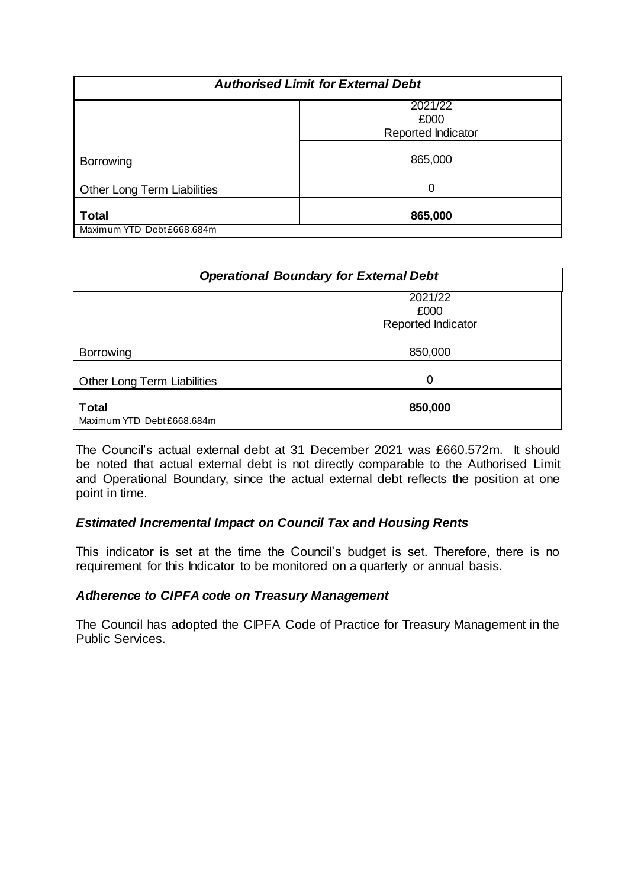| <b>Authorised Limit for External Debt</b> |         |  |  |
|-------------------------------------------|---------|--|--|
| 2021/22<br>£000<br>Reported Indicator     |         |  |  |
| <b>Borrowing</b>                          | 865,000 |  |  |
| Other Long Term Liabilities               | 0       |  |  |
| <b>Total</b>                              | 865,000 |  |  |
| Maximum YTD Debt £668.684m                |         |  |  |

| <b>Operational Boundary for External Debt</b> |         |  |  |
|-----------------------------------------------|---------|--|--|
| 2021/22<br>£000<br>Reported Indicator         |         |  |  |
| Borrowing                                     | 850,000 |  |  |
| <b>Other Long Term Liabilities</b>            | 0       |  |  |
| <b>Total</b><br>Maximum YTD Debt £668.684m    | 850,000 |  |  |

The Council's actual external debt at 31 December 2021 was £660.572m. It should be noted that actual external debt is not directly comparable to the Authorised Limit and Operational Boundary, since the actual external debt reflects the position at one point in time.

## *Estimated Incremental Impact on Council Tax and Housing Rents*

This indicator is set at the time the Council's budget is set. Therefore, there is no requirement for this Indicator to be monitored on a quarterly or annual basis.

## *Adherence to CIPFA code on Treasury Management*

The Council has adopted the CIPFA Code of Practice for Treasury Management in the Public Services.